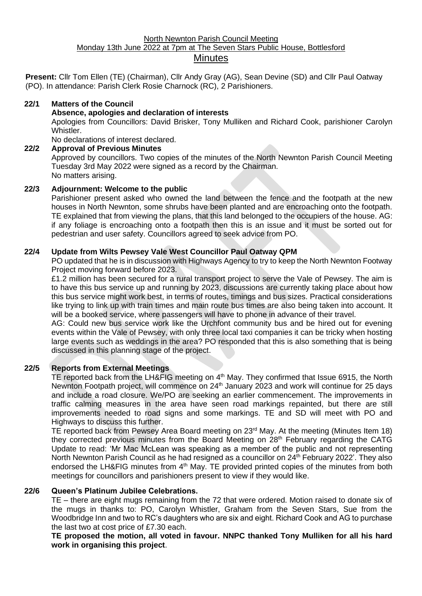## North Newnton Parish Council Meeting Monday 13th June 2022 at 7pm at The Seven Stars Public House, Bottlesford **Minutes**

**Present:** Cllr Tom Ellen (TE) (Chairman), Cllr Andy Gray (AG), Sean Devine (SD) and Cllr Paul Oatway (PO). In attendance: Parish Clerk Rosie Charnock (RC), 2 Parishioners.

### **22/1 Matters of the Council**

### **Absence, apologies and declaration of interests**

Apologies from Councillors: David Brisker, Tony Mulliken and Richard Cook, parishioner Carolyn Whistler.

No declarations of interest declared.

**22/2 Approval of Previous Minutes** Approved by councillors. Two copies of the minutes of the North Newnton Parish Council Meeting Tuesday 3rd May 2022 were signed as a record by the Chairman. No matters arising.

## **22/3 Adjournment: Welcome to the public**

Parishioner present asked who owned the land between the fence and the footpath at the new houses in North Newnton, some shrubs have been planted and are encroaching onto the footpath. TE explained that from viewing the plans, that this land belonged to the occupiers of the house. AG: if any foliage is encroaching onto a footpath then this is an issue and it must be sorted out for pedestrian and user safety. Councillors agreed to seek advice from PO.

## **22/4 Update from Wilts Pewsey Vale West Councillor Paul Oatway QPM**

PO updated that he is in discussion with Highways Agency to try to keep the North Newnton Footway Project moving forward before 2023.

£1.2 million has been secured for a rural transport project to serve the Vale of Pewsey. The aim is to have this bus service up and running by 2023, discussions are currently taking place about how this bus service might work best, in terms of routes, timings and bus sizes. Practical considerations like trying to link up with train times and main route bus times are also being taken into account. It will be a booked service, where passengers will have to phone in advance of their travel.

AG: Could new bus service work like the Urchfont community bus and be hired out for evening events within the Vale of Pewsey, with only three local taxi companies it can be tricky when hosting large events such as weddings in the area? PO responded that this is also something that is being discussed in this planning stage of the project.

## **22/5 Reports from External Meetings**

TE reported back from the LH&FIG meeting on 4<sup>th</sup> May. They confirmed that Issue 6915, the North Newnton Footpath project, will commence on 24<sup>th</sup> January 2023 and work will continue for 25 days and include a road closure. We/PO are seeking an earlier commencement. The improvements in traffic calming measures in the area have seen road markings repainted, but there are still improvements needed to road signs and some markings. TE and SD will meet with PO and Highways to discuss this further.

TE reported back from Pewsey Area Board meeting on 23<sup>rd</sup> May. At the meeting (Minutes Item 18) they corrected previous minutes from the Board Meeting on 28<sup>th</sup> February regarding the CATG Update to read: 'Mr Mac McLean was speaking as a member of the public and not representing North Newnton Parish Council as he had resigned as a councillor on 24<sup>th</sup> February 2022'. They also endorsed the LH&FIG minutes from 4<sup>th</sup> May. TE provided printed copies of the minutes from both meetings for councillors and parishioners present to view if they would like.

## **22/6 Queen's Platinum Jubilee Celebrations.**

TE – there are eight mugs remaining from the 72 that were ordered. Motion raised to donate six of the mugs in thanks to: PO, Carolyn Whistler, Graham from the Seven Stars, Sue from the Woodbridge Inn and two to RC's daughters who are six and eight. Richard Cook and AG to purchase the last two at cost price of £7.30 each.

**TE proposed the motion, all voted in favour. NNPC thanked Tony Mulliken for all his hard work in organising this project**.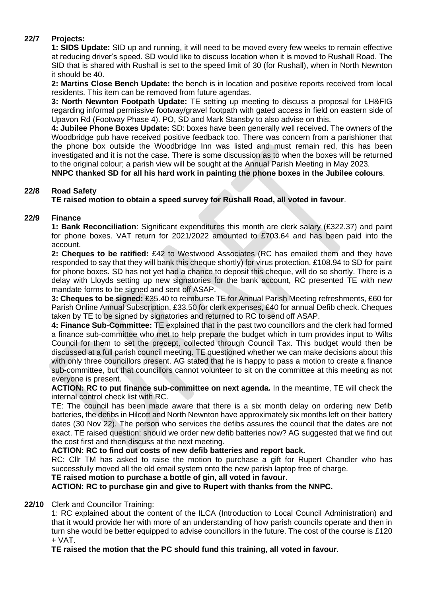# **22/7 Projects:**

**1: SIDS Update:** SID up and running, it will need to be moved every few weeks to remain effective at reducing driver's speed. SD would like to discuss location when it is moved to Rushall Road. The SID that is shared with Rushall is set to the speed limit of 30 (for Rushall), when in North Newnton it should be 40.

**2: Martins Close Bench Update:** the bench is in location and positive reports received from local residents. This item can be removed from future agendas.

**3: North Newnton Footpath Update:** TE setting up meeting to discuss a proposal for LH&FIG regarding informal permissive footway/gravel footpath with gated access in field on eastern side of Upavon Rd (Footway Phase 4). PO, SD and Mark Stansby to also advise on this.

**4: Jubilee Phone Boxes Update:** SD: boxes have been generally well received. The owners of the Woodbridge pub have received positive feedback too. There was concern from a parishioner that the phone box outside the Woodbridge Inn was listed and must remain red, this has been investigated and it is not the case. There is some discussion as to when the boxes will be returned to the original colour; a parish view will be sought at the Annual Parish Meeting in May 2023.

**NNPC thanked SD for all his hard work in painting the phone boxes in the Jubilee colours**.

## **22/8 Road Safety**

**TE raised motion to obtain a speed survey for Rushall Road, all voted in favour**.

## **22/9 Finance**

**1: Bank Reconciliation**: Significant expenditures this month are clerk salary (£322.37) and paint for phone boxes. VAT return for 2021/2022 amounted to £703.64 and has been paid into the account.

**2: Cheques to be ratified:** £42 to Westwood Associates (RC has emailed them and they have responded to say that they will bank this cheque shortly) for virus protection, £108.94 to SD for paint for phone boxes. SD has not yet had a chance to deposit this cheque, will do so shortly. There is a delay with Lloyds setting up new signatories for the bank account, RC presented TE with new mandate forms to be signed and sent off ASAP.

**3: Cheques to be signed:** £35.40 to reimburse TE for Annual Parish Meeting refreshments, £60 for Parish Online Annual Subscription, £33.50 for clerk expenses, £40 for annual Defib check. Cheques taken by TE to be signed by signatories and returned to RC to send off ASAP.

**4: Finance Sub-Committee:** TE explained that in the past two councillors and the clerk had formed a finance sub-committee who met to help prepare the budget which in turn provides input to Wilts Council for them to set the precept, collected through Council Tax. This budget would then be discussed at a full parish council meeting. TE questioned whether we can make decisions about this with only three councillors present. AG stated that he is happy to pass a motion to create a finance sub-committee, but that councillors cannot volunteer to sit on the committee at this meeting as not everyone is present.

**ACTION: RC to put finance sub-committee on next agenda.** In the meantime, TE will check the internal control check list with RC.

TE: The council has been made aware that there is a six month delay on ordering new Defib batteries, the defibs in Hilcott and North Newnton have approximately six months left on their battery dates (30 Nov 22). The person who services the defibs assures the council that the dates are not exact. TE raised question: should we order new defib batteries now? AG suggested that we find out the cost first and then discuss at the next meeting.

**ACTION: RC to find out costs of new defib batteries and report back.**

RC: Cllr TM has asked to raise the motion to purchase a gift for Rupert Chandler who has successfully moved all the old email system onto the new parish laptop free of charge.

## **TE raised motion to purchase a bottle of gin, all voted in favour**.

**ACTION: RC to purchase gin and give to Rupert with thanks from the NNPC.**

## **22/10** Clerk and Councillor Training:

1: RC explained about the content of the ILCA (Introduction to Local Council Administration) and that it would provide her with more of an understanding of how parish councils operate and then in turn she would be better equipped to advise councillors in the future. The cost of the course is £120 + VAT.

**TE raised the motion that the PC should fund this training, all voted in favour**.